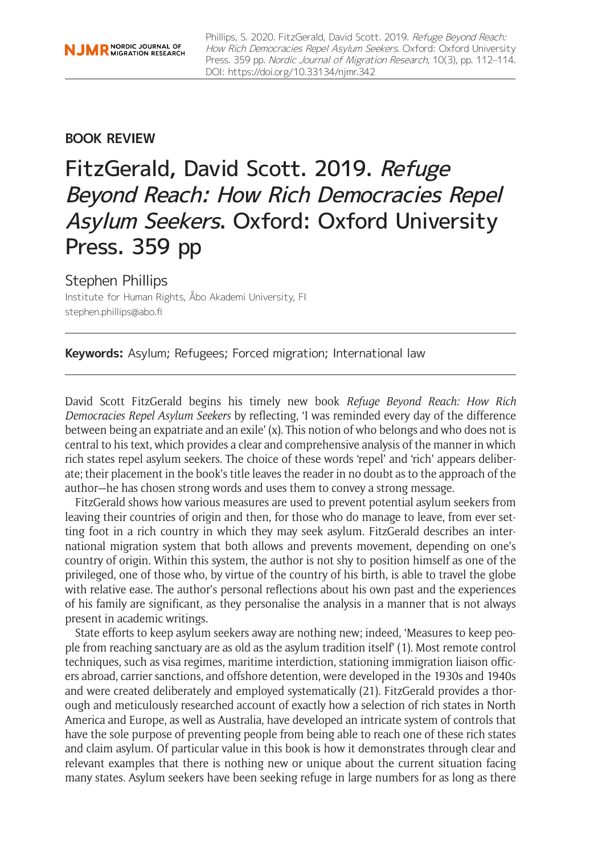## **BOOK REVIEW**

# FitzGerald, David Scott. 2019. Refuge Beyond Reach: How Rich Democracies Repel Asylum Seekers. Oxford: Oxford University Press. 359 pp

## Stephen Phillips

Institute for Human Rights, Åbo Akademi University, FI [stephen.phillips@abo.fi](mailto:stephen.phillips@abo.fi)

**Keywords:** Asylum; Refugees; Forced migration; International law

David Scott FitzGerald begins his timely new book *Refuge Beyond Reach: How Rich Democracies Repel Asylum Seekers* by reflecting, 'I was reminded every day of the difference between being an expatriate and an exile' (x). This notion of who belongs and who does not is central to his text, which provides a clear and comprehensive analysis of the manner in which rich states repel asylum seekers. The choice of these words 'repel' and 'rich' appears deliberate; their placement in the book's title leaves the reader in no doubt as to the approach of the author—he has chosen strong words and uses them to convey a strong message.

FitzGerald shows how various measures are used to prevent potential asylum seekers from leaving their countries of origin and then, for those who do manage to leave, from ever setting foot in a rich country in which they may seek asylum. FitzGerald describes an international migration system that both allows and prevents movement, depending on one's country of origin. Within this system, the author is not shy to position himself as one of the privileged, one of those who, by virtue of the country of his birth, is able to travel the globe with relative ease. The author's personal reflections about his own past and the experiences of his family are significant, as they personalise the analysis in a manner that is not always present in academic writings.

State efforts to keep asylum seekers away are nothing new; indeed, 'Measures to keep people from reaching sanctuary are as old as the asylum tradition itself' (1). Most remote control techniques, such as visa regimes, maritime interdiction, stationing immigration liaison officers abroad, carrier sanctions, and offshore detention, were developed in the 1930s and 1940s and were created deliberately and employed systematically (21). FitzGerald provides a thorough and meticulously researched account of exactly how a selection of rich states in North America and Europe, as well as Australia, have developed an intricate system of controls that have the sole purpose of preventing people from being able to reach one of these rich states and claim asylum. Of particular value in this book is how it demonstrates through clear and relevant examples that there is nothing new or unique about the current situation facing many states. Asylum seekers have been seeking refuge in large numbers for as long as there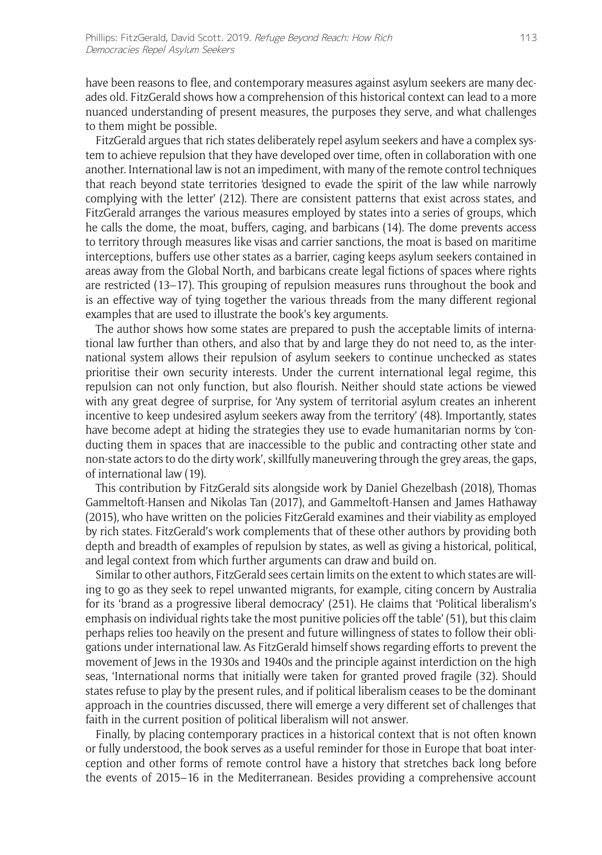have been reasons to flee, and contemporary measures against asylum seekers are many decades old. FitzGerald shows how a comprehension of this historical context can lead to a more nuanced understanding of present measures, the purposes they serve, and what challenges to them might be possible.

FitzGerald argues that rich states deliberately repel asylum seekers and have a complex system to achieve repulsion that they have developed over time, often in collaboration with one another. International law is not an impediment, with many of the remote control techniques that reach beyond state territories 'designed to evade the spirit of the law while narrowly complying with the letter' (212). There are consistent patterns that exist across states, and FitzGerald arranges the various measures employed by states into a series of groups, which he calls the dome, the moat, buffers, caging, and barbicans (14). The dome prevents access to territory through measures like visas and carrier sanctions, the moat is based on maritime interceptions, buffers use other states as a barrier, caging keeps asylum seekers contained in areas away from the Global North, and barbicans create legal fictions of spaces where rights are restricted (13–17). This grouping of repulsion measures runs throughout the book and is an effective way of tying together the various threads from the many different regional examples that are used to illustrate the book's key arguments.

The author shows how some states are prepared to push the acceptable limits of international law further than others, and also that by and large they do not need to, as the international system allows their repulsion of asylum seekers to continue unchecked as states prioritise their own security interests. Under the current international legal regime, this repulsion can not only function, but also flourish. Neither should state actions be viewed with any great degree of surprise, for 'Any system of territorial asylum creates an inherent incentive to keep undesired asylum seekers away from the territory' (48). Importantly, states have become adept at hiding the strategies they use to evade humanitarian norms by 'conducting them in spaces that are inaccessible to the public and contracting other state and non-state actors to do the dirty work', skillfully maneuvering through the grey areas, the gaps, of international law (19).

This contribution by FitzGerald sits alongside work by Daniel Ghezelbash (2018), Thomas Gammeltoft-Hansen and Nikolas Tan (2017), and Gammeltoft-Hansen and James Hathaway (2015), who have written on the policies FitzGerald examines and their viability as employed by rich states. FitzGerald's work complements that of these other authors by providing both depth and breadth of examples of repulsion by states, as well as giving a historical, political, and legal context from which further arguments can draw and build on.

Similar to other authors, FitzGerald sees certain limits on the extent to which states are willing to go as they seek to repel unwanted migrants, for example, citing concern by Australia for its 'brand as a progressive liberal democracy' (251). He claims that 'Political liberalism's emphasis on individual rights take the most punitive policies off the table' (51), but this claim perhaps relies too heavily on the present and future willingness of states to follow their obligations under international law. As FitzGerald himself shows regarding efforts to prevent the movement of Jews in the 1930s and 1940s and the principle against interdiction on the high seas, 'International norms that initially were taken for granted proved fragile (32). Should states refuse to play by the present rules, and if political liberalism ceases to be the dominant approach in the countries discussed, there will emerge a very different set of challenges that faith in the current position of political liberalism will not answer.

Finally, by placing contemporary practices in a historical context that is not often known or fully understood, the book serves as a useful reminder for those in Europe that boat interception and other forms of remote control have a history that stretches back long before the events of 2015–16 in the Mediterranean. Besides providing a comprehensive account